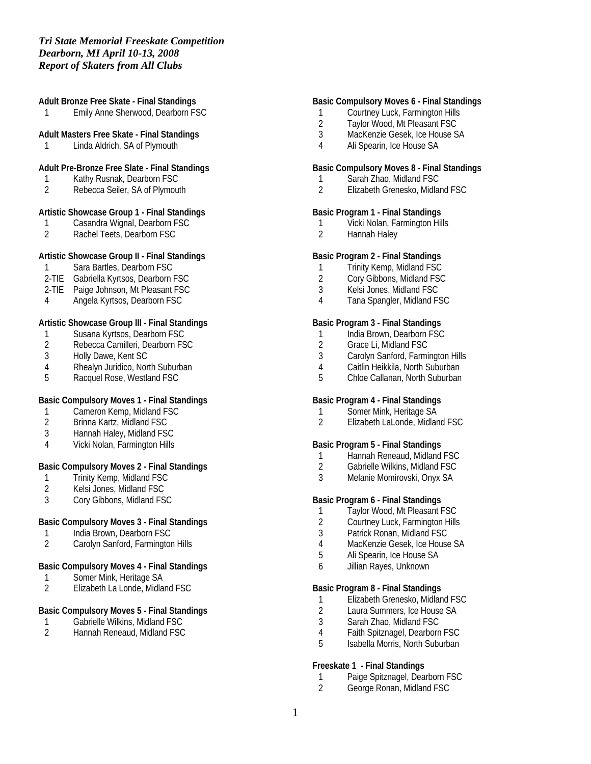#### **Adult Bronze Free Skate - Final Standings**

1 Emily Anne Sherwood, Dearborn FSC

#### **Adult Masters Free Skate - Final Standings**

1 Linda Aldrich, SA of Plymouth

#### **Adult Pre-Bronze Free Slate - Final Standings**

- 1 Kathy Rusnak, Dearborn FSC<br>2 Rebecca Seiler, SA of Plymout
- Rebecca Seiler, SA of Plymouth

## **Artistic Showcase Group 1 - Final Standings**

- 1 Casandra Wignal, Dearborn FSC<br>2 Rachel Teets, Dearborn FSC
- Rachel Teets, Dearborn FSC

## **Artistic Showcase Group II - Final Standings**

- 1 Sara Bartles, Dearborn FSC
- 2-TIE Gabriella Kyrtsos, Dearborn FSC
- 2-TIE Paige Johnson, Mt Pleasant FSC
- 4 Angela Kyrtsos, Dearborn FSC

#### **Artistic Showcase Group III - Final Standings**

- 1 Susana Kyrtsos, Dearborn FSC<br>2 Rebecca Camilleri, Dearborn FS
- 2 Rebecca Camilleri, Dearborn FSC<br>3 Holly Dawe, Kent SC
- Holly Dawe, Kent SC
- 4 Rhealyn Juridico, North Suburban<br>5 Racquel Rose, Westland FSC
- Racquel Rose, Westland FSC

## **Basic Compulsory Moves 1 - Final Standings**

- 1 Cameron Kemp, Midland FSC<br>2 Brinna Kartz, Midland FSC
- 2 Brinna Kartz, Midland FSC
- 3 Hannah Haley, Midland FSC
- 4 Vicki Nolan, Farmington Hills

#### **Basic Compulsory Moves 2 - Final Standings**

- 1 Trinity Kemp, Midland FSC<br>2 Kelsi Jones, Midland FSC
- 2 Kelsi Jones, Midland FSC
- 3 Cory Gibbons, Midland FSC

## **Basic Compulsory Moves 3 - Final Standings**

- 1 India Brown, Dearborn FSC
- 2 Carolyn Sanford, Farmington Hills

#### **Basic Compulsory Moves 4 - Final Standings**

- 1 Somer Mink, Heritage SA<br>2 Elizabeth La Londe, Midla
- 2 Elizabeth La Londe, Midland FSC

## **Basic Compulsory Moves 5 - Final Standings**

- 1 Gabrielle Wilkins, Midland FSC<br>2 Hannah Reneaud, Midland FSC
- 2 Hannah Reneaud, Midland FSC

## **Basic Compulsory Moves 6 - Final Standings**

- 1 Courtney Luck, Farmington Hills<br>2 Taylor Wood. Mt Pleasant FSC
- Taylor Wood, Mt Pleasant FSC
- 3 MacKenzie Gesek, Ice House SA
- 4 Ali Spearin, Ice House SA

#### **Basic Compulsory Moves 8 - Final Standings**

- 1 Sarah Zhao, Midland FSC<br>2 Flizabeth Grenesko, Midlar
- 2 Elizabeth Grenesko, Midland FSC

## **Basic Program 1 - Final Standings**

- 1 Vicki Nolan, Farmington Hills<br>2 Hannah Halev
- 2 Hannah Haley

# **Basic Program 2 - Final Standings**

- 1 Trinity Kemp, Midland FSC
- 2 Cory Gibbons, Midland FSC
- 3 Kelsi Jones, Midland FSC
- 4 Tana Spangler, Midland FSC

#### **Basic Program 3 - Final Standings**

- 1 India Brown, Dearborn FSC
- 2 Grace Li, Midland FSC
- 3 Carolyn Sanford, Farmington Hills
- 4 Caitlin Heikkila, North Suburban
- 5 Chloe Callanan, North Suburban

#### **Basic Program 4 - Final Standings**

- 1 Somer Mink, Heritage SA<br>2 Elizabeth LaLonde, Midlan
- 2 Elizabeth LaLonde, Midland FSC

#### **Basic Program 5 - Final Standings**

- 1 Hannah Reneaud, Midland FSC
- 2 Gabrielle Wilkins, Midland FSC<br>3 Melanie Momirovski, Onvx SA
- 3 Melanie Momirovski, Onyx SA

#### **Basic Program 6 - Final Standings**

- 1 Taylor Wood, Mt Pleasant FSC
- 2 Courtney Luck, Farmington Hills
- 3 Patrick Ronan, Midland FSC
- 4 MacKenzie Gesek, Ice House SA
- 5 Ali Spearin, Ice House SA
- 6 Jillian Rayes, Unknown

#### **Basic Program 8 - Final Standings**

- 1 Elizabeth Grenesko, Midland FSC
- 2 Laura Summers, Ice House SA<br>3 Sarah Zhao. Midland FSC
- Sarah Zhao, Midland FSC
- 4 Faith Spitznagel, Dearborn FSC
- 5 Isabella Morris, North Suburban

#### **Freeskate 1 - Final Standings**

- 1 Paige Spitznagel, Dearborn FSC
- 2 George Ronan, Midland FSC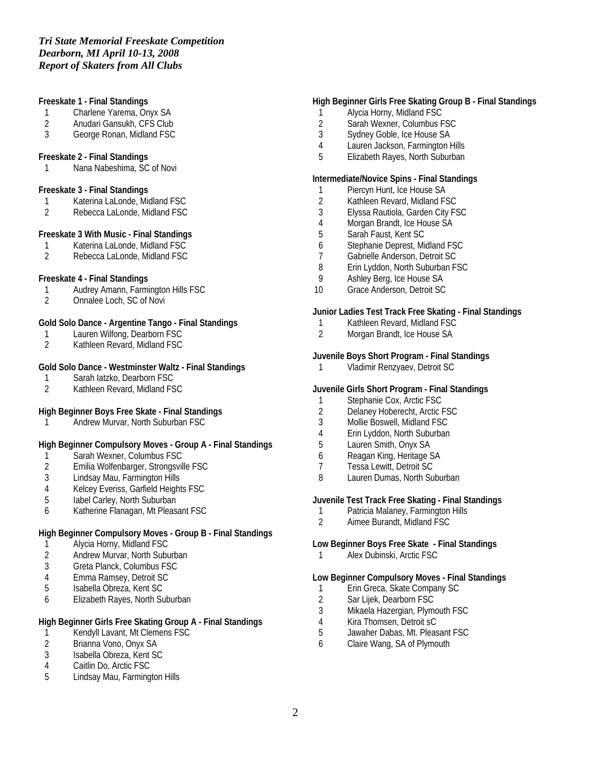#### **Freeskate 1 - Final Standings**

- 1 Charlene Yarema, Onyx SA<br>2 Anudari Gansukh. CFS Club
- 2 Anudari Gansukh, CFS Club
- 3 George Ronan, Midland FSC

#### **Freeskate 2 - Final Standings**

1 Nana Nabeshima, SC of Novi

#### **Freeskate 3 - Final Standings**

- 1 Katerina LaLonde, Midland FSC
- 2 Rebecca LaLonde, Midland FSC

#### **Freeskate 3 With Music - Final Standings**

- 1 Katerina LaLonde, Midland FSC<br>2 Rebecca LaLonde, Midland FSC
- 2 Rebecca LaLonde, Midland FSC

### **Freeskate 4 - Final Standings**

- 1 Audrey Amann, Farmington Hills FSC<br>2 Onnalee Loch. SC of Novi
- 2 Onnalee Loch, SC of Novi

## **Gold Solo Dance - Argentine Tango - Final Standings**

- 1 Lauren Wilfong, Dearborn FSC<br>2 Kathleen Revard, Midland FSC
- 2 Kathleen Revard, Midland FSC

## **Gold Solo Dance - Westminster Waltz - Final Standings**

- 1 Sarah Iatzko, Dearborn FSC
- 2 Kathleen Revard, Midland FSC

## **High Beginner Boys Free Skate - Final Standings**

1 Andrew Murvar, North Suburban FSC

## **High Beginner Compulsory Moves - Group A - Final Standings**

- 1 Sarah Wexner, Columbus FSC
- 2 Emilia Wolfenbarger, Strongsville FSC
- Lindsay Mau, Farmington Hills
- 4 Kelcey Everiss, Garfield Heights FSC
- 5 Iabel Carley, North Suburban
- 6 Katherine Flanagan, Mt Pleasant FSC

## **High Beginner Compulsory Moves - Group B - Final Standings**

- 1 Alycia Horny, Midland FSC<br>2 Andrew Murvar, North Subu
- Andrew Murvar, North Suburban
- 3 Greta Planck, Columbus FSC
- 4 Emma Ramsey, Detroit SC<br>5 Sabella Obreza, Kent SC
- 5 Isabella Obreza, Kent SC
- 6 Elizabeth Rayes, North Suburban

## **High Beginner Girls Free Skating Group A - Final Standings**

- 1 Kendyll Lavant, Mt Clemens FSC<br>2 Brianna Vono, Onyx SA
- Brianna Vono, Onyx SA
- 3 Isabella Obreza, Kent SC
- 4 Caitlin Do, Arctic FSC
- 5 Lindsay Mau, Farmington Hills

#### **High Beginner Girls Free Skating Group B - Final Standings**

- 1 Alycia Horny, Midland FSC
- 2 Sarah Wexner, Columbus FSC
- 3 Sydney Goble, Ice House SA
- 4 Lauren Jackson, Farmington Hills
- 5 Elizabeth Rayes, North Suburban

### **Intermediate/Novice Spins - Final Standings**

- 1 Piercyn Hunt, Ice House SA
- 2 Kathleen Revard, Midland FSC
- 3 Elyssa Rautiola, Garden City FSC<br>4 Morgan Brandt, Ice House SA
- 4 Morgan Brandt, Ice House SA<br>5 Sarah Faust, Kent SC
- 5 Sarah Faust, Kent SC
- 6 Stephanie Deprest, Midland FSC
- 7 Gabrielle Anderson, Detroit SC<br>8 Erin Lyddon, North Suburban F.
- Erin Lyddon, North Suburban FSC
- 9 Ashley Berg, Ice House SA
- 10 Grace Anderson, Detroit SC

#### **Junior Ladies Test Track Free Skating - Final Standings**

- 1 Kathleen Revard, Midland FSC<br>2 Morgan Brandt, Ice House SA
- 2 Morgan Brandt, Ice House SA

#### **Juvenile Boys Short Program - Final Standings**

1 Vladimir Renzyaev, Detroit SC

#### **Juvenile Girls Short Program - Final Standings**

- 1 Stephanie Cox, Arctic FSC
- 2 Delaney Hoberecht, Arctic FSC<br>3 Mollie Boswell. Midland FSC
- 3 Mollie Boswell, Midland FSC
- 4 Erin Lyddon, North Suburban
- 5 Lauren Smith, Onyx SA
- 6 Reagan King, Heritage SA
- 7 Tessa Lewitt, Detroit SC<br>8 Lauren Dumas, North Su
- Lauren Dumas, North Suburban

#### **Juvenile Test Track Free Skating - Final Standings**

- 1 Patricia Malaney, Farmington Hills<br>2 Aimee Burandt. Midland FSC
- 2 Aimee Burandt, Midland FSC

## **Low Beginner Boys Free Skate - Final Standings**

1 Alex Dubinski, Arctic FSC

#### **Low Beginner Compulsory Moves - Final Standings**

- 1 Erin Greca, Skate Company SC<br>2 Sar Liiek. Dearborn FSC
- Sar Lijek, Dearborn FSC
- 3 Mikaela Hazergian, Plymouth FSC
- 4 Kira Thomsen, Detroit sC<br>5 Jawaher Dabas, Mt. Pleas
- 5 Jawaher Dabas, Mt. Pleasant FSC
- 6 Claire Wang, SA of Plymouth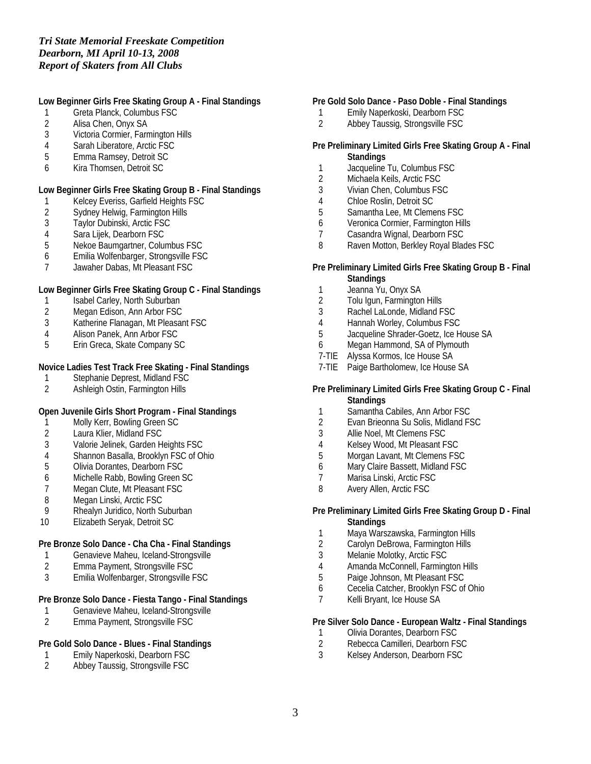# **Low Beginner Girls Free Skating Group A - Final Standings**

- 1 Greta Planck, Columbus FSC
- 2 Alisa Chen, Onyx SA
- 3 Victoria Cormier, Farmington Hills
- 4 Sarah Liberatore, Arctic FSC<br>5 Emma Ramsev. Detroit SC
- 5 Emma Ramsey, Detroit SC
- 6 Kira Thomsen, Detroit SC

# **Low Beginner Girls Free Skating Group B - Final Standings**

- 1 Kelcey Everiss, Garfield Heights FSC
- 2 Sydney Helwig, Farmington Hills<br>3 Taylor Dubinski, Arctic FSC
- 3 Taylor Dubinski, Arctic FSC<br>4 Sara Lijek, Dearborn FSC
- Sara Lijek, Dearborn FSC
- 5 Nekoe Baumgartner, Columbus FSC
- 6 Emilia Wolfenbarger, Strongsville FSC
- 7 Jawaher Dabas, Mt Pleasant FSC

# **Low Beginner Girls Free Skating Group C - Final Standings**

- 1 Isabel Carley, North Suburban
- 2 Megan Edison, Ann Arbor FSC
- 3 Katherine Flanagan, Mt Pleasant FSC<br>4 Alison Panek. Ann Arbor FSC
- 4 Alison Panek, Ann Arbor FSC<br>5 Erin Greca, Skate Company S
- 5 Erin Greca, Skate Company SC

# **Novice Ladies Test Track Free Skating - Final Standings**

- 1 Stephanie Deprest, Midland FSC
- 2 Ashleigh Ostin, Farmington Hills

# **Open Juvenile Girls Short Program - Final Standings**

- 1 Molly Kerr, Bowling Green SC<br>2 Laura Klier, Midland FSC
- 2 Laura Klier, Midland FSC<br>3 Valorie Jelinek, Garden H
- 3 Valorie Jelinek, Garden Heights FSC
- 4 Shannon Basalla, Brooklyn FSC of Ohio
- 
- 5 Olivia Dorantes, Dearborn FSC<br>6 Michelle Rabb, Bowling Green S 6 Michelle Rabb, Bowling Green SC<br>7 Megan Clute, Mt Pleasant FSC
- Megan Clute, Mt Pleasant FSC
- 8 Megan Linski, Arctic FSC<br>9 Rhealyn Juridico, North Su
- 9 Rhealyn Juridico, North Suburban
- 10 Elizabeth Seryak, Detroit SC

# **Pre Bronze Solo Dance - Cha Cha - Final Standings**

- 1 Genavieve Maheu, Iceland-Strongsville<br>2 Emma Pavment, Strongsville FSC
- 2 Emma Payment, Strongsville FSC
- 3 Emilia Wolfenbarger, Strongsville FSC

# **Pre Bronze Solo Dance - Fiesta Tango - Final Standings**

- 1 Genavieve Maheu, Iceland-Strongsville<br>2 Emma Pavment, Strongsville FSC
- 2 Emma Payment, Strongsville FSC

# **Pre Gold Solo Dance - Blues - Final Standings**

- 1 Emily Naperkoski, Dearborn FSC<br>2 Abbev Taussig, Strongsville FSC
- Abbey Taussig, Strongsville FSC

# **Pre Gold Solo Dance - Paso Doble - Final Standings**

- 1 Emily Naperkoski, Dearborn FSC<br>2 Abbey Taussig. Strongsville FSC
- Abbey Taussig, Strongsville FSC

# **Pre Preliminary Limited Girls Free Skating Group A - Final Standings**

- 1 Jacqueline Tu, Columbus FSC
- 2 Michaela Keils, Arctic FSC
- 3 Vivian Chen, Columbus FSC
- 4 Chloe Roslin, Detroit SC
- 5 Samantha Lee, Mt Clemens FSC
- 6 Veronica Cormier, Farmington Hills
- 7 Casandra Wignal, Dearborn FSC
- 8 Raven Motton, Berkley Royal Blades FSC

## **Pre Preliminary Limited Girls Free Skating Group B - Final Standings**

- 1 Jeanna Yu, Onyx SA<br>2 Tolu Igun, Farmington
- 2 Tolu Igun, Farmington Hills
- 3 Rachel LaLonde, Midland FSC
- 
- 4 Hannah Worley, Columbus FSC<br>5 Jacqueline Shrader-Goetz, Ice H 5 Jacqueline Shrader-Goetz, Ice House SA
- 6 Megan Hammond, SA of Plymouth
- 7-TIE Alyssa Kormos, Ice House SA
- 7-TIE Paige Bartholomew, Ice House SA

## **Pre Preliminary Limited Girls Free Skating Group C - Final Standings**

- 1 Samantha Cabiles, Ann Arbor FSC<br>2 Evan Brieonna Su Solis, Midland FS
- 2 Evan Brieonna Su Solis, Midland FSC
- 3 Allie Noel, Mt Clemens FSC
- 4 Kelsey Wood, Mt Pleasant FSC
- 5 Morgan Lavant, Mt Clemens FSC
- 6 Mary Claire Bassett, Midland FSC
- 7 Marisa Linski, Arctic FSC<br>8 Avery Allen Arctic FSC
- Avery Allen, Arctic FSC

## **Pre Preliminary Limited Girls Free Skating Group D - Final Standings**

- 1 Maya Warszawska, Farmington Hills
- 2 Carolyn DeBrowa, Farmington Hills
- 3 Melanie Molotky, Arctic FSC
- 4 Amanda McConnell, Farmington Hills
- 5 Paige Johnson, Mt Pleasant FSC
- 6 Cecelia Catcher, Brooklyn FSC of Ohio
- 7 Kelli Bryant, Ice House SA

## **Pre Silver Solo Dance - European Waltz - Final Standings**

- 1 Olivia Dorantes, Dearborn FSC<br>2 Rebecca Camilleri, Dearborn FS
- 2 Rebecca Camilleri, Dearborn FSC
- 3 Kelsey Anderson, Dearborn FSC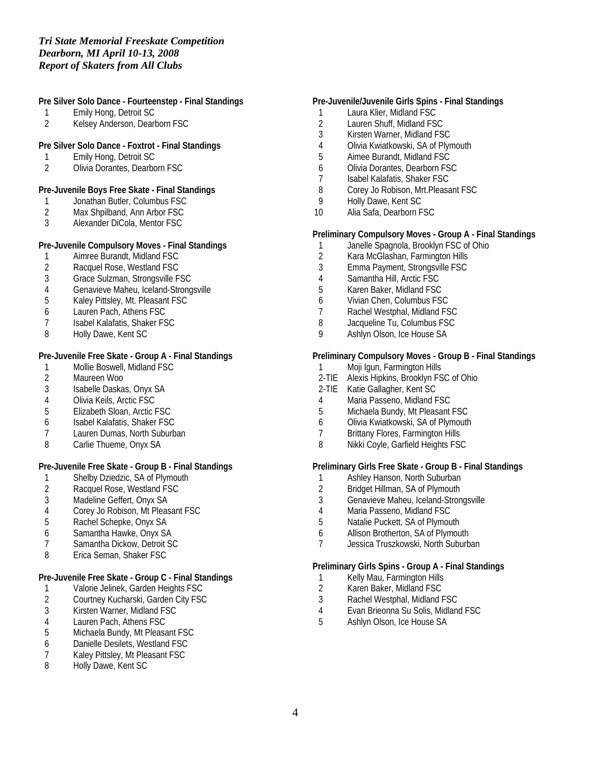## **Pre Silver Solo Dance - Fourteenstep - Final Standings**

- 1 Emily Hong, Detroit SC
- 2 Kelsey Anderson, Dearborn FSC

## **Pre Silver Solo Dance - Foxtrot - Final Standings**

- 1 Emily Hong, Detroit SC
- 2 Olivia Dorantes, Dearborn FSC

#### **Pre-Juvenile Boys Free Skate - Final Standings**

- 1 Jonathan Butler, Columbus FSC
- 2 Max Shpilband, Ann Arbor FSC<br>3 Alexander DiCola, Mentor FSC
- Alexander DiCola, Mentor FSC

## **Pre-Juvenile Compulsory Moves - Final Standings**

- 1 Aimree Burandt, Midland FSC<br>2 Racquel Rose. Westland FSC
- 2 Racquel Rose, Westland FSC
- 
- 3 Grace Sulzman, Strongsville FSC<br>4 Genavieve Maheu, Iceland-Strong
- 4 Genavieve Maheu, Iceland-Strongsville<br>5 Kalev Pittslev. Mt. Pleasant FSC 5 Kaley Pittsley, Mt. Pleasant FSC
- 6 Lauren Pach, Athens FSC
- 7 Isabel Kalafatis, Shaker FSC<br>8 Holly Dawe, Kent SC
- Holly Dawe, Kent SC

#### **Pre-Juvenile Free Skate - Group A - Final Standings**

- 1 Mollie Boswell, Midland FSC<br>2 Maureen Woo
- Maureen Woo
- 3 Isabelle Daskas, Onyx SA
- 4 Olivia Keils, Arctic FSC<br>5 Elizabeth Sloan, Arctic I
- 5 Elizabeth Sloan, Arctic FSC
- 6 Isabel Kalafatis, Shaker FSC
- 7 Lauren Dumas, North Suburban
- 8 Carlie Thueme, Onyx SA

# **Pre-Juvenile Free Skate - Group B - Final Standings**

- 1 Shelby Dziedzic, SA of Plymouth<br>2 Racquel Rose, Westland FSC
- Racquel Rose, Westland FSC
- 3 Madeline Geffert, Onyx SA<br>4 Corey Jo Robison, Mt Pleas
- 4 Corey Jo Robison, Mt Pleasant FSC<br>5 Rachel Schepke. Onvx SA
- 5 Rachel Schepke, Onyx SA
- 6 Samantha Hawke, Onyx SA
- 7 Samantha Dickow, Detroit SC
- 8 Erica Seman, Shaker FSC

#### **Pre-Juvenile Free Skate - Group C - Final Standings**

- 1 Valorie Jelinek, Garden Heights FSC<br>2 Courtney Kucharski, Garden City FSC
- 2 Courtney Kucharski, Garden City FSC<br>3 Kirsten Warner, Midland FSC
- 3 Kirsten Warner, Midland FSC
- 4 Lauren Pach, Athens FSC
- Michaela Bundy, Mt Pleasant FSC
- 6 Danielle Desilets, Westland FSC
- 7 Kaley Pittsley, Mt Pleasant FSC
- 8 Holly Dawe, Kent SC

## **Pre-Juvenile/Juvenile Girls Spins - Final Standings**

- 1 Laura Klier, Midland FSC
- 2 Lauren Shuff, Midland FSC
- 3 Kirsten Warner, Midland FSC
- 4 Olivia Kwiatkowski, SA of Plymouth<br>5 Aimee Burandt. Midland FSC
- 5 Aimee Burandt, Midland FSC
- 6 Olivia Dorantes, Dearborn FSC
- 7 Isabel Kalafatis, Shaker FSC
- 8 Corey Jo Robison, Mrt. Pleasant FSC
- 9 Holly Dawe, Kent SC
- 10 Alia Safa, Dearborn FSC

#### **Preliminary Compulsory Moves - Group A - Final Standings**

- 1 Janelle Spagnola, Brooklyn FSC of Ohio<br>2 Kara McGlashan, Farmington Hills
- 2 Kara McGlashan, Farmington Hills<br>3 Emma Payment, Strongsville FSC
- 3 Emma Payment, Strongsville FSC
- 
- 4 Samantha Hill, Arctic FSC<br>5 Karen Baker, Midland FSC 5 Karen Baker, Midland FSC
- 6 Vivian Chen, Columbus FSC
- 7 Rachel Westphal, Midland FSC
- 8 Jacqueline Tu, Columbus FSC
- 9 Ashlyn Olson, Ice House SA

## **Preliminary Compulsory Moves - Group B - Final Standings**

- 1 Moji Igun, Farmington Hills
- 2-TIE Alexis Hipkins, Brooklyn FSC of Ohio
- 2-TIE Katie Gallagher, Kent SC
- 4 Maria Passeno, Midland FSC
- 5 Michaela Bundy, Mt Pleasant FSC
- 6 Olivia Kwiatkowski, SA of Plymouth
- 7 Brittany Flores, Farmington Hills
- 8 Nikki Coyle, Garfield Heights FSC

## **Preliminary Girls Free Skate - Group B - Final Standings**

- 1 Ashley Hanson, North Suburban<br>2 Bridget Hillman, SA of Plymouth
- 2 Bridget Hillman, SA of Plymouth
- 3 Genavieve Maheu, Iceland-Strongsville
- 4 Maria Passeno, Midland FSC<br>5 Natalie Puckett. SA of Plymou
- Natalie Puckett, SA of Plymouth
- 6 Allison Brotherton, SA of Plymouth
- 7 Jessica Truszkowski, North Suburban

#### **Preliminary Girls Spins - Group A - Final Standings**

- 1 Kelly Mau, Farmington Hills
- 2 Karen Baker, Midland FSC<br>3 Rachel Westphal, Midland F
- 3 Rachel Westphal, Midland FSC
- 4 Evan Brieonna Su Solis, Midland FSC<br>5 Ashlvn Olson. Ice House SA
- 5 Ashlyn Olson, Ice House SA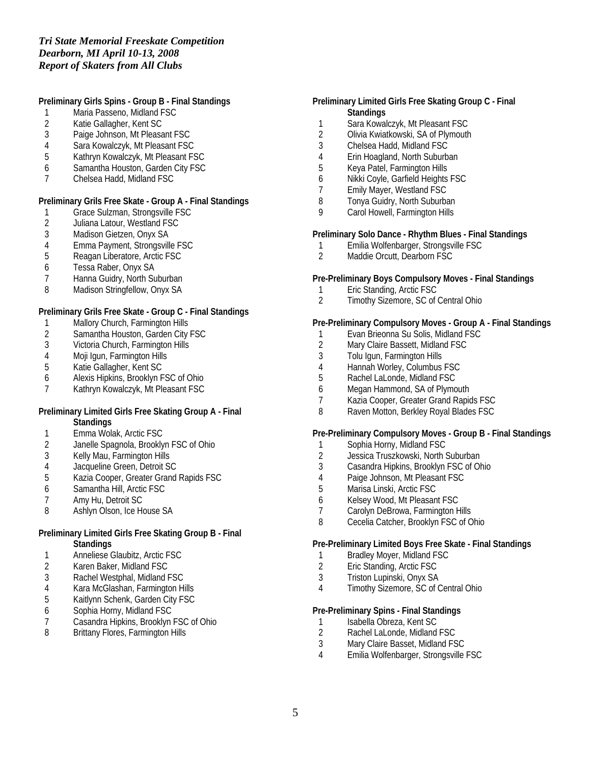## **Preliminary Girls Spins - Group B - Final Standings**

- 1 Maria Passeno, Midland FSC
- 2 Katie Gallagher, Kent SC
- 3 Paige Johnson, Mt Pleasant FSC
- 
- 4 Sara Kowalczyk, Mt Pleasant FSC 5 Kathryn Kowalczyk, Mt Pleasant FSC
- 6 Samantha Houston, Garden City FSC
- 7 Chelsea Hadd, Midland FSC

## **Preliminary Grils Free Skate - Group A - Final Standings**

- 1 Grace Sulzman, Strongsville FSC<br>2 Juliana Latour, Westland FSC
- 2 Juliana Latour, Westland FSC<br>3 Madison Gietzen, Onyx SA
- 3 Madison Gietzen, Onyx SA
- 4 Emma Payment, Strongsville FSC<br>5 Reagan Liberatore. Arctic FSC
- 5 Reagan Liberatore, Arctic FSC
- 6 Tessa Raber, Onyx SA
- 7 Hanna Guidry, North Suburban
- 8 Madison Stringfellow, Onyx SA

#### **Preliminary Grils Free Skate - Group C - Final Standings**

- 1 Mallory Church, Farmington Hills<br>2 Samantha Houston, Garden City
- 2 Samantha Houston, Garden City FSC<br>3 Victoria Church, Farmington Hills
- Victoria Church, Farmington Hills
- 4 Moji Igun, Farmington Hills<br>5 Katie Gallagher, Kent SC
- 5 Katie Gallagher, Kent SC
- 6 Alexis Hipkins, Brooklyn FSC of Ohio
- 7 Kathryn Kowalczyk, Mt Pleasant FSC

#### **Preliminary Limited Girls Free Skating Group A - Final Standings**

- 1 Emma Wolak, Arctic FSC
- 2 Janelle Spagnola, Brooklyn FSC of Ohio
- 3 Kelly Mau, Farmington Hills
- 
- 4 Jacqueline Green, Detroit SC<br>5 Kazia Cooper, Greater Grand 5 Kazia Cooper, Greater Grand Rapids FSC
- 6 Samantha Hill, Arctic FSC
- 
- 7 Amy Hu, Detroit SC<br>8 Ashlvn Olson, Ice Ho 8 Ashlyn Olson, Ice House SA

## **Preliminary Limited Girls Free Skating Group B - Final Standings**

- 1 Anneliese Glaubitz, Arctic FSC<br>2 Karen Baker, Midland FSC
- 2 Karen Baker, Midland FSC
- 3 Rachel Westphal, Midland FSC
- 4 Kara McGlashan, Farmington Hills<br>5 Kaitlynn Schenk, Garden City FSC
- 5 Kaitlynn Schenk, Garden City FSC
- 6 Sophia Horny, Midland FSC
- 7 Casandra Hipkins, Brooklyn FSC of Ohio<br>8 Brittany Flores. Farmington Hills
- 8 Brittany Flores, Farmington Hills

#### **Preliminary Limited Girls Free Skating Group C - Final Standings**

- 1 Sara Kowalczyk, Mt Pleasant FSC
- 2 Olivia Kwiatkowski, SA of Plymouth
- 3 Chelsea Hadd, Midland FSC
- 4 Erin Hoagland, North Suburban
- 5 Keya Patel, Farmington Hills
- 6 Nikki Coyle, Garfield Heights FSC
- 7 Emily Mayer, Westland FSC
- 8 Tonya Guidry, North Suburban
- 9 Carol Howell, Farmington Hills

## **Preliminary Solo Dance - Rhythm Blues - Final Standings**

- 1 Emilia Wolfenbarger, Strongsville FSC<br>2 Maddie Orcutt. Dearborn FSC
- Maddie Orcutt, Dearborn FSC

#### **Pre-Preliminary Boys Compulsory Moves - Final Standings**

- 1 Eric Standing, Arctic FSC<br>2 Timothy Sizemore, SC of
- 2 Timothy Sizemore, SC of Central Ohio

#### **Pre-Preliminary Compulsory Moves - Group A - Final Standings**

- 1 Evan Brieonna Su Solis, Midland FSC
- 2 Mary Claire Bassett, Midland FSC
- 3 Tolu Igun, Farmington Hills
- 4 Hannah Worley, Columbus FSC<br>5 Rachel LaLonde, Midland FSC
- 5 Rachel LaLonde, Midland FSC
- 6 Megan Hammond, SA of Plymouth
- 7 Kazia Cooper, Greater Grand Rapids FSC
- 8 Raven Motton, Berkley Royal Blades FSC

#### **Pre-Preliminary Compulsory Moves - Group B - Final Standings**

- 1 Sophia Horny, Midland FSC<br>2 Jessica Truszkowski. North 9
- Jessica Truszkowski, North Suburban
- 3 Casandra Hipkins, Brooklyn FSC of Ohio
- 
- 4 Paige Johnson, Mt Pleasant FSC<br>5 Marisa Linski, Arctic FSC Marisa Linski, Arctic FSC
- 
- 6 Kelsey Wood, Mt Pleasant FSC<br>7 Carolyn DeBrowa, Farminaton F Carolyn DeBrowa, Farmington Hills
- 8 Cecelia Catcher, Brooklyn FSC of Ohio

#### **Pre-Preliminary Limited Boys Free Skate - Final Standings**

- 1 Bradley Moyer, Midland FSC
- 2 Eric Standing, Arctic FSC
- 3 Triston Lupinski, Onyx SA
- 4 Timothy Sizemore, SC of Central Ohio

#### **Pre-Preliminary Spins - Final Standings**

- 1 Isabella Obreza, Kent SC<br>2 Rachel LaLonde, Midland
- 
- 2 Rachel LaLonde, Midland FSC<br>3 Mary Claire Basset, Midland FS 3 Mary Claire Basset, Midland FSC
- 4 Emilia Wolfenbarger, Strongsville FSC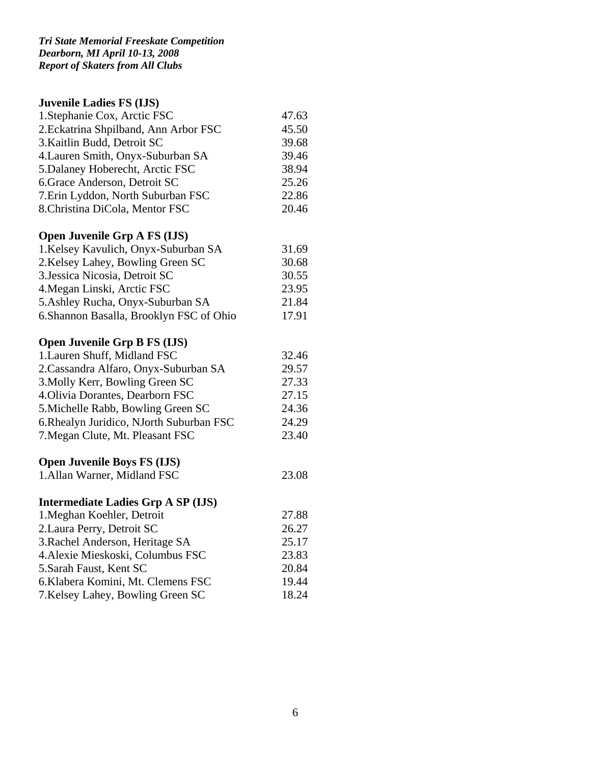# **Juvenile Ladies FS (IJS)**

| 1. Stephanie Cox, Arctic FSC          | 47.63 |
|---------------------------------------|-------|
| 2. Eckatrina Shpilband, Ann Arbor FSC | 45.50 |
| 3. Kaitlin Budd, Detroit SC           | 39.68 |
| 4. Lauren Smith, Onyx-Suburban SA     | 39.46 |
| 5. Dalaney Hoberecht, Arctic FSC      | 38.94 |
| 6. Grace Anderson, Detroit SC         | 25.26 |
| 7. Erin Lyddon, North Suburban FSC    | 22.86 |
| 8. Christina DiCola, Mentor FSC       | 20.46 |

# **Open Juvenile Grp A FS (IJS)**

| 1. Kelsey Kavulich, Onyx-Suburban SA     | 31.69 |
|------------------------------------------|-------|
| 2. Kelsey Lahey, Bowling Green SC        | 30.68 |
| 3. Jessica Nicosia, Detroit SC           | 30.55 |
| 4. Megan Linski, Arctic FSC              | 23.95 |
| 5. Ashley Rucha, Onyx-Suburban SA        | 21.84 |
| 6. Shannon Basalla, Brooklyn FSC of Ohio | 17.91 |

# **Open Juvenile Grp B FS (IJS)**

| 1. Lauren Shuff, Midland FSC             | 32.46 |
|------------------------------------------|-------|
| 2. Cassandra Alfaro, Onyx-Suburban SA    | 29.57 |
| 3. Molly Kerr, Bowling Green SC          | 27.33 |
| 4. Olivia Dorantes, Dearborn FSC         | 27.15 |
| 5. Michelle Rabb, Bowling Green SC       | 24.36 |
| 6. Rhealyn Juridico, NJorth Suburban FSC | 24.29 |
| 7. Megan Clute, Mt. Pleasant FSC         | 23.40 |

# **Open Juvenile Boys FS (IJS)**

| 1. Allan Warner, Midland FSC |  |  |  | 23.08 |
|------------------------------|--|--|--|-------|
|------------------------------|--|--|--|-------|

# **Intermediate Ladies Grp A SP (IJS)**

| 1. Meghan Koehler, Detroit         | 27.88 |
|------------------------------------|-------|
| 2. Laura Perry, Detroit SC         | 26.27 |
| 3. Rachel Anderson, Heritage SA    | 25.17 |
| 4. Alexie Mieskoski, Columbus FSC  | 23.83 |
| 5. Sarah Faust, Kent SC            | 20.84 |
| 6. Klabera Komini, Mt. Clemens FSC | 19.44 |
| 7. Kelsey Lahey, Bowling Green SC  | 18.24 |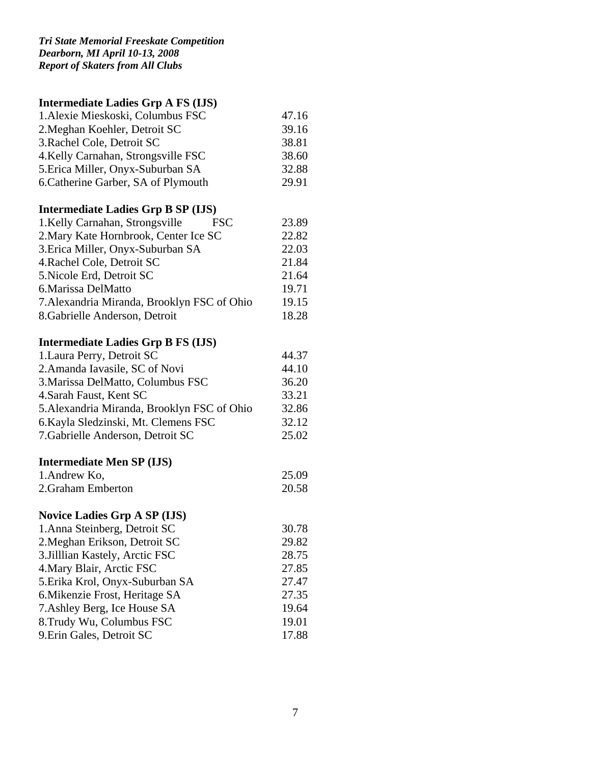# **Intermediate Ladies Grp A FS (IJS)**

| 1. Alexie Mieskoski, Columbus FSC   | 47.16 |
|-------------------------------------|-------|
| 2. Meghan Koehler, Detroit SC       | 39.16 |
| 3. Rachel Cole, Detroit SC          | 38.81 |
| 4. Kelly Carnahan, Strongsville FSC | 38.60 |
| 5. Erica Miller, Onyx-Suburban SA   | 32.88 |
| 6. Catherine Garber, SA of Plymouth | 29.91 |

# **Intermediate Ladies Grp B SP (IJS)**

| 1. Kelly Carnahan, Strongsville<br><b>FSC</b> | 23.89 |
|-----------------------------------------------|-------|
| 2. Mary Kate Hornbrook, Center Ice SC         | 22.82 |
| 3. Erica Miller, Onyx-Suburban SA             | 22.03 |
| 4. Rachel Cole, Detroit SC                    | 21.84 |
| 5. Nicole Erd, Detroit SC                     | 21.64 |
| 6. Marissa DelMatto                           | 19.71 |
| 7. Alexandria Miranda, Brooklyn FSC of Ohio   | 19.15 |
| 8. Gabrielle Anderson, Detroit                | 18.28 |

# **Intermediate Ladies Grp B FS (IJS)**

| 1. Laura Perry, Detroit SC                  | 44.37 |
|---------------------------------------------|-------|
| 2. Amanda Iavasile, SC of Novi              | 44.10 |
| 3. Marissa DelMatto, Columbus FSC           | 36.20 |
| 4. Sarah Faust, Kent SC                     | 33.21 |
| 5. Alexandria Miranda, Brooklyn FSC of Ohio | 32.86 |
| 6. Kayla Sledzinski, Mt. Clemens FSC        | 32.12 |
| 7. Gabrielle Anderson, Detroit SC           | 25.02 |
|                                             |       |

# **Intermediate Men SP (IJS)**

| 1. Andrew Ko,      | 25.09 |
|--------------------|-------|
| 2. Graham Emberton | 20.58 |

# **Novice Ladies Grp A SP (IJS)**

| 30.78 |
|-------|
| 29.82 |
| 28.75 |
| 27.85 |
| 27.47 |
| 27.35 |
| 19.64 |
| 19.01 |
| 17.88 |
|       |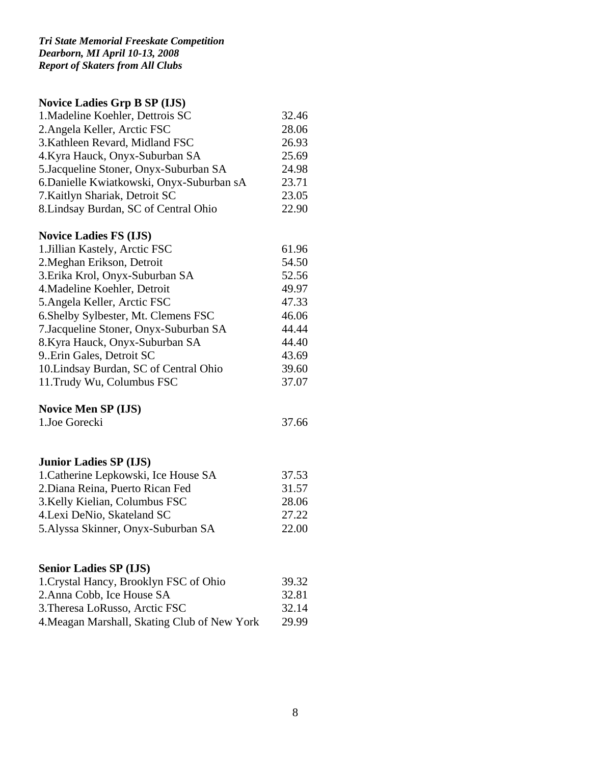# **Novice Ladies Grp B SP (IJS)**

| 1. Madeline Koehler, Dettrois SC          | 32.46 |
|-------------------------------------------|-------|
| 2. Angela Keller, Arctic FSC              | 28.06 |
| 3. Kathleen Revard, Midland FSC           | 26.93 |
| 4. Kyra Hauck, Onyx-Suburban SA           | 25.69 |
| 5. Jacqueline Stoner, Onyx-Suburban SA    | 24.98 |
| 6. Danielle Kwiatkowski, Onyx-Suburban sA | 23.71 |
| 7. Kaitlyn Shariak, Detroit SC            | 23.05 |
| 8. Lindsay Burdan, SC of Central Ohio     | 22.90 |

# **Novice Ladies FS (IJS)**

| 1. Jillian Kastely, Arctic FSC         | 61.96 |
|----------------------------------------|-------|
| 2. Meghan Erikson, Detroit             | 54.50 |
| 3. Erika Krol, Onyx-Suburban SA        | 52.56 |
| 4. Madeline Koehler, Detroit           | 49.97 |
| 5. Angela Keller, Arctic FSC           | 47.33 |
| 6.Shelby Sylbester, Mt. Clemens FSC    | 46.06 |
| 7. Jacqueline Stoner, Onyx-Suburban SA | 44.44 |
| 8. Kyra Hauck, Onyx-Suburban SA        | 44.40 |
| 9. Erin Gales, Detroit SC              | 43.69 |
| 10. Lindsay Burdan, SC of Central Ohio | 39.60 |
| 11. Trudy Wu, Columbus FSC             | 37.07 |

# **Novice Men SP (IJS)**

| 1.Joe Gorecki | 37.66 |
|---------------|-------|
|---------------|-------|

# **Junior Ladies SP (IJS)**

| 1. Catherine Lepkowski, Ice House SA | 37.53 |
|--------------------------------------|-------|
| 2. Diana Reina, Puerto Rican Fed     | 31.57 |
| 3. Kelly Kielian, Columbus FSC       | 28.06 |
| 4. Lexi DeNio, Skateland SC          | 27.22 |
| 5. Alyssa Skinner, Onyx-Suburban SA  | 22.00 |

# **Senior Ladies SP (IJS)**

| 39.32 |
|-------|
| 32.81 |
| 32.14 |
| 29.99 |
|       |